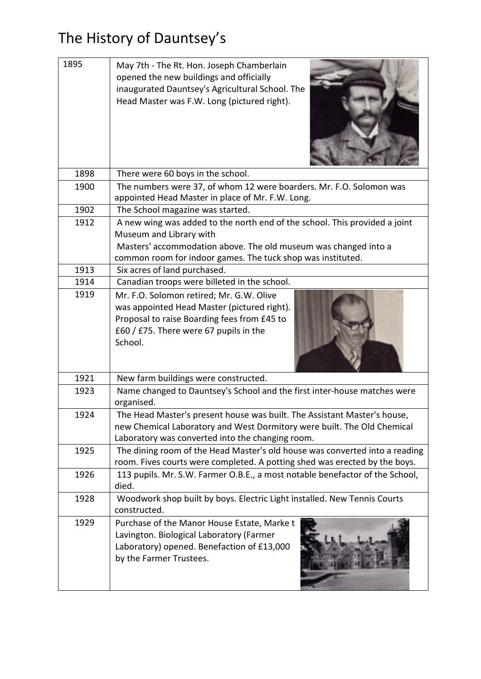## The History of Dauntsey's

| 1895         | May 7th - The Rt. Hon. Joseph Chamberlain<br>opened the new buildings and officially<br>inaugurated Dauntsey's Agricultural School. The<br>Head Master was F.W. Long (pictured right).                  |
|--------------|---------------------------------------------------------------------------------------------------------------------------------------------------------------------------------------------------------|
| 1898         | There were 60 boys in the school.                                                                                                                                                                       |
| 1900         | The numbers were 37, of whom 12 were boarders. Mr. F.O. Solomon was                                                                                                                                     |
|              | appointed Head Master in place of Mr. F.W. Long.                                                                                                                                                        |
| 1902         | The School magazine was started.                                                                                                                                                                        |
| 1912         | A new wing was added to the north end of the school. This provided a joint                                                                                                                              |
|              | Museum and Library with                                                                                                                                                                                 |
|              | Masters' accommodation above. The old museum was changed into a                                                                                                                                         |
|              | common room for indoor games. The tuck shop was instituted.                                                                                                                                             |
| 1913         | Six acres of land purchased.                                                                                                                                                                            |
| 1914<br>1919 | Canadian troops were billeted in the school.                                                                                                                                                            |
|              | Mr. F.O. Solomon retired; Mr. G.W. Olive<br>was appointed Head Master (pictured right).<br>Proposal to raise Boarding fees from £45 to<br>£60 / £75. There were 67 pupils in the<br>School.             |
| 1921         | New farm buildings were constructed.                                                                                                                                                                    |
| 1923         | Name changed to Dauntsey's School and the first inter-house matches were<br>organised.                                                                                                                  |
| 1924         | The Head Master's present house was built. The Assistant Master's house,<br>new Chemical Laboratory and West Dormitory were built. The Old Chemical<br>Laboratory was converted into the changing room. |
| 1925         | The dining room of the Head Master's old house was converted into a reading<br>room. Fives courts were completed. A potting shed was erected by the boys.                                               |
| 1926         | 113 pupils. Mr. S.W. Farmer O.B.E., a most notable benefactor of the School,<br>died.                                                                                                                   |
| 1928         | Woodwork shop built by boys. Electric Light installed. New Tennis Courts<br>constructed.                                                                                                                |
| 1929         | Purchase of the Manor House Estate, Marke t<br>Lavington. Biological Laboratory (Farmer<br>Laboratory) opened. Benefaction of £13,000<br>by the Farmer Trustees.                                        |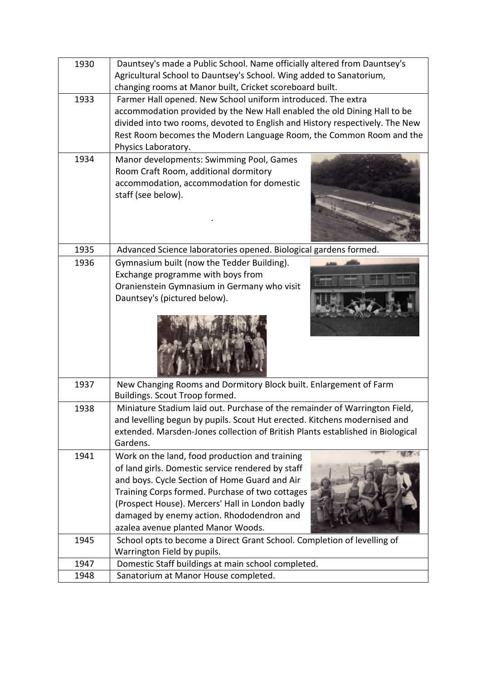| 1930 | Dauntsey's made a Public School. Name officially altered from Dauntsey's                                                        |
|------|---------------------------------------------------------------------------------------------------------------------------------|
|      | Agricultural School to Dauntsey's School. Wing added to Sanatorium,<br>changing rooms at Manor built, Cricket scoreboard built. |
| 1933 | Farmer Hall opened. New School uniform introduced. The extra                                                                    |
|      | accommodation provided by the New Hall enabled the old Dining Hall to be                                                        |
|      | divided into two rooms, devoted to English and History respectively. The New                                                    |
|      | Rest Room becomes the Modern Language Room, the Common Room and the                                                             |
|      | Physics Laboratory.                                                                                                             |
| 1934 | Manor developments: Swimming Pool, Games                                                                                        |
|      | Room Craft Room, additional dormitory                                                                                           |
|      | accommodation, accommodation for domestic                                                                                       |
|      | staff (see below).                                                                                                              |
|      |                                                                                                                                 |
|      |                                                                                                                                 |
|      |                                                                                                                                 |
|      |                                                                                                                                 |
| 1935 | Advanced Science laboratories opened. Biological gardens formed.                                                                |
| 1936 | Gymnasium built (now the Tedder Building).                                                                                      |
|      | Exchange programme with boys from                                                                                               |
|      | Oranienstein Gymnasium in Germany who visit                                                                                     |
|      | Dauntsey's (pictured below).                                                                                                    |
|      |                                                                                                                                 |
| 1937 | New Changing Rooms and Dormitory Block built. Enlargement of Farm<br>Buildings. Scout Troop formed.                             |
| 1938 | Miniature Stadium laid out. Purchase of the remainder of Warrington Field,                                                      |
|      | and levelling begun by pupils. Scout Hut erected. Kitchens modernised and                                                       |
|      | extended. Marsden-Jones collection of British Plants established in Biological                                                  |
|      | Gardens.                                                                                                                        |
| 1941 | Work on the land, food production and training                                                                                  |
|      | of land girls. Domestic service rendered by staff                                                                               |
|      | and boys. Cycle Section of Home Guard and Air                                                                                   |
|      | Training Corps formed. Purchase of two cottages                                                                                 |
|      | (Prospect House). Mercers' Hall in London badly                                                                                 |
|      | damaged by enemy action. Rhododendron and                                                                                       |
|      | azalea avenue planted Manor Woods.                                                                                              |
| 1945 | School opts to become a Direct Grant School. Completion of levelling of                                                         |
|      | Warrington Field by pupils.                                                                                                     |
| 1947 | Domestic Staff buildings at main school completed.                                                                              |
| 1948 | Sanatorium at Manor House completed.                                                                                            |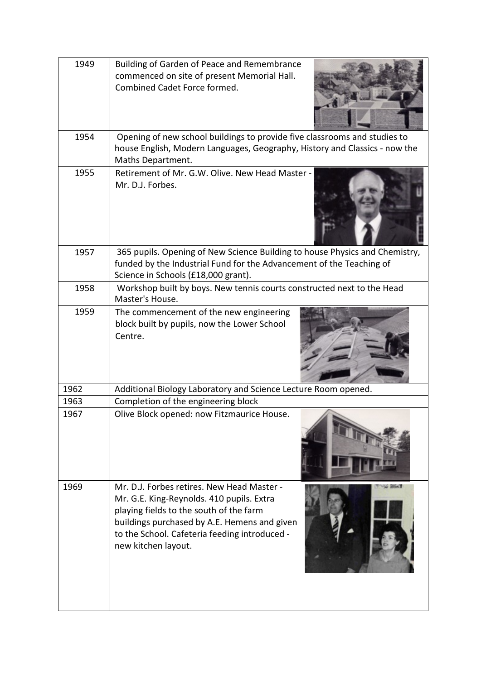| 1949 | Building of Garden of Peace and Remembrance<br>commenced on site of present Memorial Hall.<br>Combined Cadet Force formed.                                                                                                                                 |
|------|------------------------------------------------------------------------------------------------------------------------------------------------------------------------------------------------------------------------------------------------------------|
| 1954 | Opening of new school buildings to provide five classrooms and studies to<br>house English, Modern Languages, Geography, History and Classics - now the<br>Maths Department.                                                                               |
| 1955 | Retirement of Mr. G.W. Olive. New Head Master -<br>Mr. D.J. Forbes.                                                                                                                                                                                        |
| 1957 | 365 pupils. Opening of New Science Building to house Physics and Chemistry,<br>funded by the Industrial Fund for the Advancement of the Teaching of<br>Science in Schools (£18,000 grant).                                                                 |
| 1958 | Workshop built by boys. New tennis courts constructed next to the Head<br>Master's House.                                                                                                                                                                  |
| 1959 | The commencement of the new engineering<br>block built by pupils, now the Lower School<br>Centre.                                                                                                                                                          |
| 1962 | Additional Biology Laboratory and Science Lecture Room opened.                                                                                                                                                                                             |
| 1963 | Completion of the engineering block                                                                                                                                                                                                                        |
| 1967 | Olive Block opened: now Fitzmaurice House.                                                                                                                                                                                                                 |
| 1969 | Mr. D.J. Forbes retires. New Head Master -<br>Mr. G.E. King-Reynolds. 410 pupils. Extra<br>playing fields to the south of the farm<br>buildings purchased by A.E. Hemens and given<br>to the School. Cafeteria feeding introduced -<br>new kitchen layout. |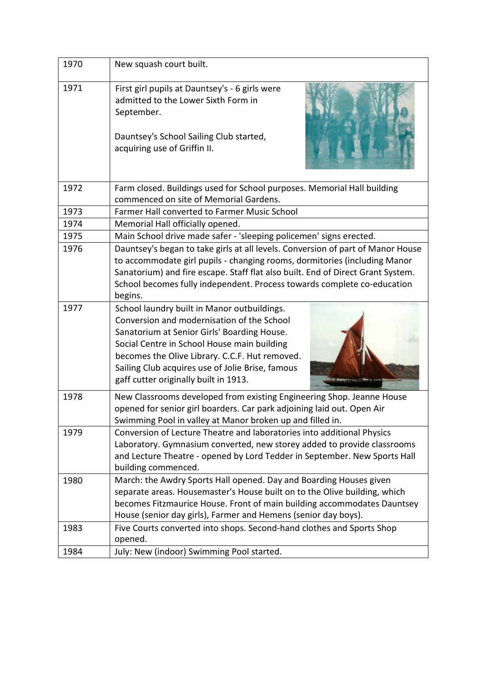| 1970 |                                                                                                                                                                                                                                                                                                                                        |
|------|----------------------------------------------------------------------------------------------------------------------------------------------------------------------------------------------------------------------------------------------------------------------------------------------------------------------------------------|
|      | New squash court built.                                                                                                                                                                                                                                                                                                                |
| 1971 | First girl pupils at Dauntsey's - 6 girls were<br>admitted to the Lower Sixth Form in<br>September.<br>Dauntsey's School Sailing Club started,<br>acquiring use of Griffin II.                                                                                                                                                         |
| 1972 | Farm closed. Buildings used for School purposes. Memorial Hall building<br>commenced on site of Memorial Gardens.                                                                                                                                                                                                                      |
| 1973 | Farmer Hall converted to Farmer Music School                                                                                                                                                                                                                                                                                           |
| 1974 | Memorial Hall officially opened.                                                                                                                                                                                                                                                                                                       |
| 1975 | Main School drive made safer - 'sleeping policemen' signs erected.                                                                                                                                                                                                                                                                     |
| 1976 | Dauntsey's began to take girls at all levels. Conversion of part of Manor House<br>to accommodate girl pupils - changing rooms, dormitories (including Manor<br>Sanatorium) and fire escape. Staff flat also built. End of Direct Grant System.<br>School becomes fully independent. Process towards complete co-education<br>begins.  |
| 1977 | School laundry built in Manor outbuildings.<br>Conversion and modernisation of the School<br>Sanatorium at Senior Girls' Boarding House.<br>Social Centre in School House main building<br>becomes the Olive Library. C.C.F. Hut removed.<br>Sailing Club acquires use of Jolie Brise, famous<br>gaff cutter originally built in 1913. |
| 1978 | New Classrooms developed from existing Engineering Shop. Jeanne House<br>opened for senior girl boarders. Car park adjoining laid out. Open Air<br>Swimming Pool in valley at Manor broken up and filled in.                                                                                                                           |
| 1979 | Conversion of Lecture Theatre and laboratories into additional Physics<br>Laboratory. Gymnasium converted, new storey added to provide classrooms<br>and Lecture Theatre - opened by Lord Tedder in September. New Sports Hall<br>building commenced.                                                                                  |
| 1980 | March: the Awdry Sports Hall opened. Day and Boarding Houses given<br>separate areas. Housemaster's House built on to the Olive building, which<br>becomes Fitzmaurice House. Front of main building accommodates Dauntsey<br>House (senior day girls), Farmer and Hemens (senior day boys).                                           |
| 1983 | Five Courts converted into shops. Second-hand clothes and Sports Shop<br>opened.                                                                                                                                                                                                                                                       |
| 1984 | July: New (indoor) Swimming Pool started.                                                                                                                                                                                                                                                                                              |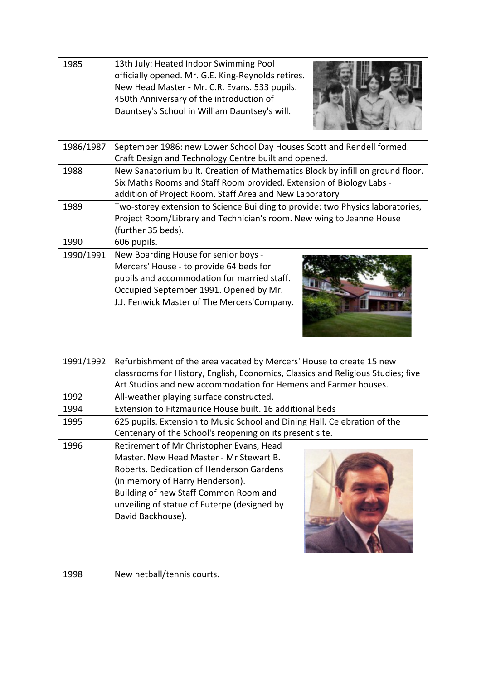| 1985      | 13th July: Heated Indoor Swimming Pool<br>officially opened. Mr. G.E. King-Reynolds retires.<br>New Head Master - Mr. C.R. Evans. 533 pupils.<br>450th Anniversary of the introduction of<br>Dauntsey's School in William Dauntsey's will.                                      |
|-----------|---------------------------------------------------------------------------------------------------------------------------------------------------------------------------------------------------------------------------------------------------------------------------------|
| 1986/1987 | September 1986: new Lower School Day Houses Scott and Rendell formed.<br>Craft Design and Technology Centre built and opened.                                                                                                                                                   |
| 1988      | New Sanatorium built. Creation of Mathematics Block by infill on ground floor.<br>Six Maths Rooms and Staff Room provided. Extension of Biology Labs -<br>addition of Project Room, Staff Area and New Laboratory                                                               |
| 1989      | Two-storey extension to Science Building to provide: two Physics laboratories,<br>Project Room/Library and Technician's room. New wing to Jeanne House<br>(further 35 beds).                                                                                                    |
| 1990      | 606 pupils.                                                                                                                                                                                                                                                                     |
| 1990/1991 | New Boarding House for senior boys -<br>Mercers' House - to provide 64 beds for<br>pupils and accommodation for married staff.<br>Occupied September 1991. Opened by Mr.<br>J.J. Fenwick Master of The Mercers'Company.                                                         |
| 1991/1992 | Refurbishment of the area vacated by Mercers' House to create 15 new<br>classrooms for History, English, Economics, Classics and Religious Studies; five<br>Art Studios and new accommodation for Hemens and Farmer houses.                                                     |
| 1992      | All-weather playing surface constructed.                                                                                                                                                                                                                                        |
| 1994      | Extension to Fitzmaurice House built, 16 additional beds                                                                                                                                                                                                                        |
| 1995      | 625 pupils. Extension to Music School and Dining Hall. Celebration of the<br>Centenary of the School's reopening on its present site.                                                                                                                                           |
| 1996      | Retirement of Mr Christopher Evans, Head<br>Master. New Head Master - Mr Stewart B.<br>Roberts. Dedication of Henderson Gardens<br>(in memory of Harry Henderson).<br>Building of new Staff Common Room and<br>unveiling of statue of Euterpe (designed by<br>David Backhouse). |
| 1998      | New netball/tennis courts.                                                                                                                                                                                                                                                      |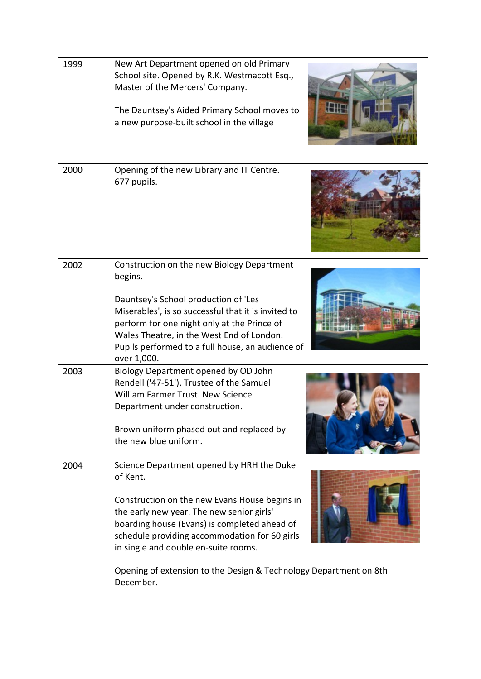| 1999 | New Art Department opened on old Primary<br>School site. Opened by R.K. Westmacott Esq.,<br>Master of the Mercers' Company.<br>The Dauntsey's Aided Primary School moves to<br>a new purpose-built school in the village                                                                                                                                                       |
|------|--------------------------------------------------------------------------------------------------------------------------------------------------------------------------------------------------------------------------------------------------------------------------------------------------------------------------------------------------------------------------------|
| 2000 | Opening of the new Library and IT Centre.<br>677 pupils.                                                                                                                                                                                                                                                                                                                       |
| 2002 | Construction on the new Biology Department<br>begins.<br>Dauntsey's School production of 'Les<br>Miserables', is so successful that it is invited to<br>perform for one night only at the Prince of<br>Wales Theatre, in the West End of London.<br>Pupils performed to a full house, an audience of<br>over 1,000.                                                            |
| 2003 | Biology Department opened by OD John<br>Rendell ('47-51'), Trustee of the Samuel<br>William Farmer Trust. New Science<br>Department under construction.<br>Brown uniform phased out and replaced by<br>the new blue uniform.                                                                                                                                                   |
| 2004 | Science Department opened by HRH the Duke<br>of Kent.<br>Construction on the new Evans House begins in<br>the early new year. The new senior girls'<br>boarding house (Evans) is completed ahead of<br>schedule providing accommodation for 60 girls<br>in single and double en-suite rooms.<br>Opening of extension to the Design & Technology Department on 8th<br>December. |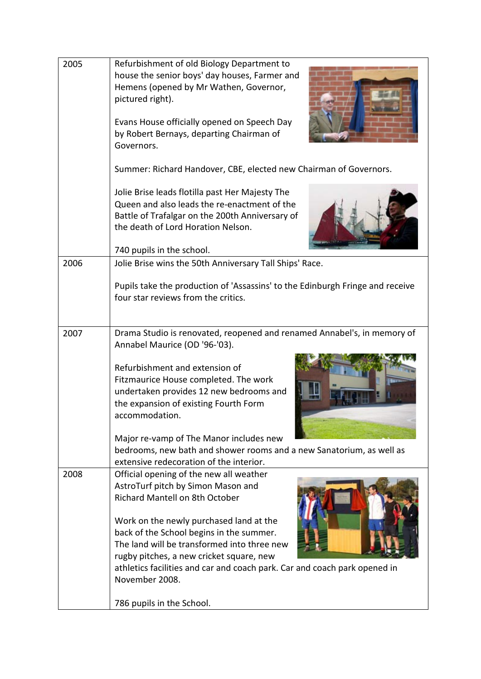| 2005 | Refurbishment of old Biology Department to<br>house the senior boys' day houses, Farmer and<br>Hemens (opened by Mr Wathen, Governor,<br>pictured right).<br>Evans House officially opened on Speech Day<br>by Robert Bernays, departing Chairman of<br>Governors. |
|------|--------------------------------------------------------------------------------------------------------------------------------------------------------------------------------------------------------------------------------------------------------------------|
|      | Summer: Richard Handover, CBE, elected new Chairman of Governors.                                                                                                                                                                                                  |
|      | Jolie Brise leads flotilla past Her Majesty The<br>Queen and also leads the re-enactment of the<br>Battle of Trafalgar on the 200th Anniversary of<br>the death of Lord Horation Nelson.<br>740 pupils in the school.                                              |
| 2006 | Jolie Brise wins the 50th Anniversary Tall Ships' Race.                                                                                                                                                                                                            |
|      | Pupils take the production of 'Assassins' to the Edinburgh Fringe and receive<br>four star reviews from the critics.                                                                                                                                               |
| 2007 | Drama Studio is renovated, reopened and renamed Annabel's, in memory of<br>Annabel Maurice (OD '96-'03).                                                                                                                                                           |
|      | Refurbishment and extension of<br>Fitzmaurice House completed. The work<br>undertaken provides 12 new bedrooms and<br>the expansion of existing Fourth Form<br>accommodation.                                                                                      |
|      | Major re-vamp of The Manor includes new                                                                                                                                                                                                                            |
|      | bedrooms, new bath and shower rooms and a new Sanatorium, as well as                                                                                                                                                                                               |
| 2008 | extensive redecoration of the interior.<br>Official opening of the new all weather<br>AstroTurf pitch by Simon Mason and<br>Richard Mantell on 8th October<br>Work on the newly purchased land at the                                                              |
|      | back of the School begins in the summer.<br>The land will be transformed into three new<br>rugby pitches, a new cricket square, new<br>athletics facilities and car and coach park. Car and coach park opened in<br>November 2008.                                 |
|      | 786 pupils in the School.                                                                                                                                                                                                                                          |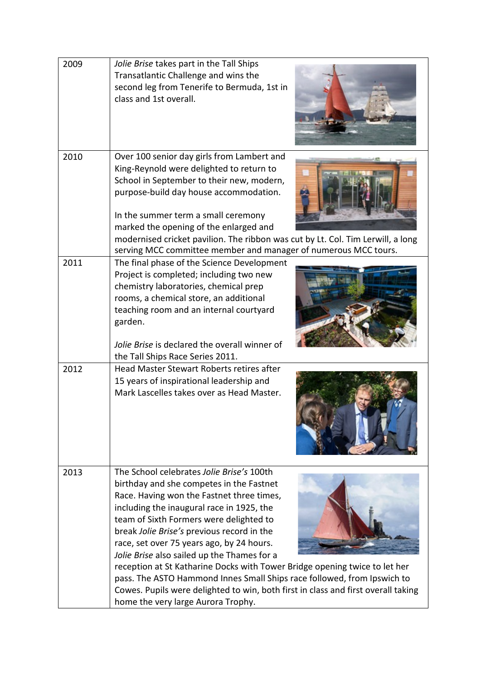| 2009 | Jolie Brise takes part in the Tall Ships<br>Transatlantic Challenge and wins the<br>second leg from Tenerife to Bermuda, 1st in<br>class and 1st overall.                                                                                                                                                                                                                                                                                                                                                                                                                                                                                                |
|------|----------------------------------------------------------------------------------------------------------------------------------------------------------------------------------------------------------------------------------------------------------------------------------------------------------------------------------------------------------------------------------------------------------------------------------------------------------------------------------------------------------------------------------------------------------------------------------------------------------------------------------------------------------|
| 2010 | Over 100 senior day girls from Lambert and<br>King-Reynold were delighted to return to<br>School in September to their new, modern,<br>purpose-build day house accommodation.<br>In the summer term a small ceremony<br>marked the opening of the enlarged and<br>modernised cricket pavilion. The ribbon was cut by Lt. Col. Tim Lerwill, a long<br>serving MCC committee member and manager of numerous MCC tours.                                                                                                                                                                                                                                     |
| 2011 | The final phase of the Science Development<br>Project is completed; including two new<br>chemistry laboratories, chemical prep<br>rooms, a chemical store, an additional<br>teaching room and an internal courtyard<br>garden.<br>Jolie Brise is declared the overall winner of<br>the Tall Ships Race Series 2011.                                                                                                                                                                                                                                                                                                                                      |
| 2012 | Head Master Stewart Roberts retires after<br>15 years of inspirational leadership and<br>Mark Lascelles takes over as Head Master.                                                                                                                                                                                                                                                                                                                                                                                                                                                                                                                       |
| 2013 | The School celebrates Jolie Brise's 100th<br>birthday and she competes in the Fastnet<br>Race. Having won the Fastnet three times,<br>including the inaugural race in 1925, the<br>team of Sixth Formers were delighted to<br>break Jolie Brise's previous record in the<br>race, set over 75 years ago, by 24 hours.<br>Jolie Brise also sailed up the Thames for a<br>reception at St Katharine Docks with Tower Bridge opening twice to let her<br>pass. The ASTO Hammond Innes Small Ships race followed, from Ipswich to<br>Cowes. Pupils were delighted to win, both first in class and first overall taking<br>home the very large Aurora Trophy. |